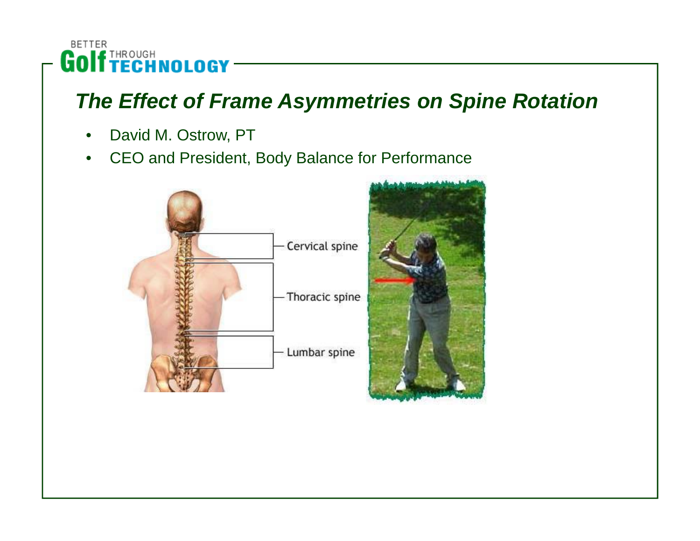

## *The Effect of Frame Asymmetries on Spine Rotation Frame*

- •David M. Ostrow, PT
- $\bullet$ CEO and President, Body Balance for Performance



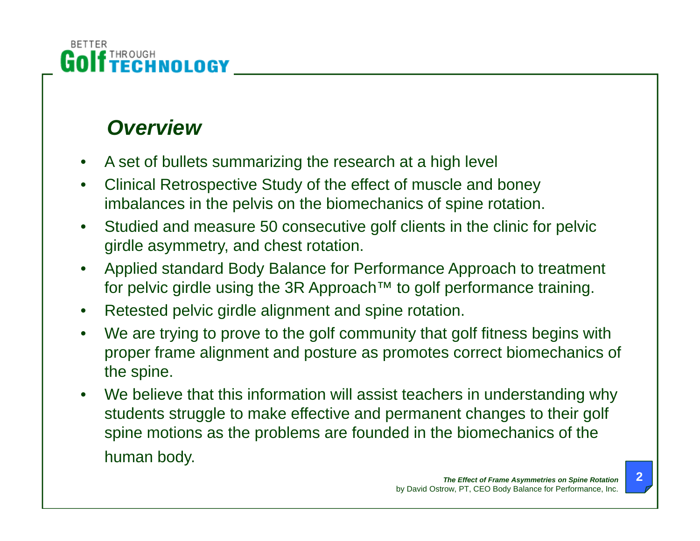## **BETTER** THROUGH<br>TECHNOLOGY

# *Overview*

- •A set of bullets summarizing the research at a high level
- • Clinical Retrospective Study of the effect of muscle and boney imbalances in the pelvis on the biomechanics of spine rotation.
- • Studied and measure 50 consecutive golf clients in the clinic for pelvic girdle asymmetry, and chest rotation.
- • Applied standard Body Balance for Performance Approach to treatment for pelvic girdle using the 3R Approach™ to golf performance training.
- Retested pelvic girdle alignment and spine rotation.
- •We are trying to prove to the golf community that golf fitness begins with proper frame alignment and posture as promotes correct biomechanics of the spine.
- •We believe that this information will assist teachers in understanding why students struggle to make effective and permanent changes to their golf spine motions as the problems are founded in the biomechanics of the human body.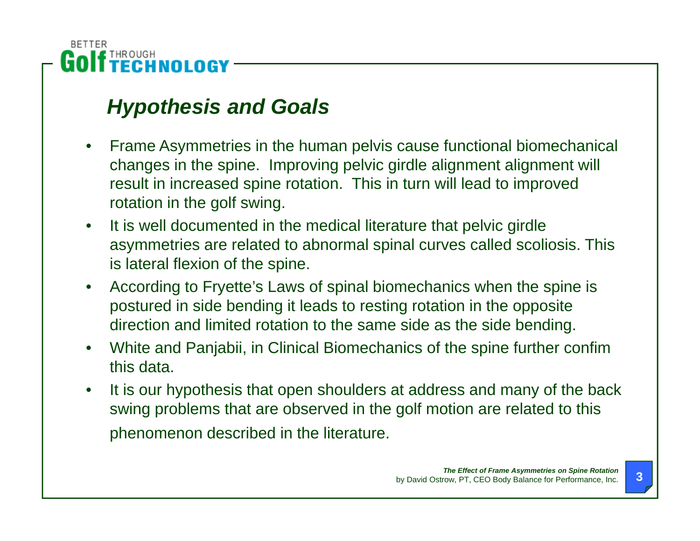

## *Hypothesis and Goals*

- • Frame Asymmetries in the human pelvis cause functional biomechanical changes in the spine. Improving pelvic girdle alignment alignment will result in increased spine rotation. This in turn will lead to improved rotation in the golf swing.
- • It is well documented in the medical literature that pelvic girdle asymmetries are related to abnormal spinal curves called scoliosis. This is lateral flexion of the spine.
- • According to Fryette's Laws of spinal biomechanics when the spine is postured in side bending it leads to resting rotation in the opposite direction and limited rotation to the same side as the side bending.
- $\bullet$  White and Panjabii, in Clinical Biomechanics of the spine further confim this data.
- $\bullet$  It is our hypothesis that open shoulders at address and many of the back swing problems that are observed in the golf motion are related to this phenomenon described in the literature.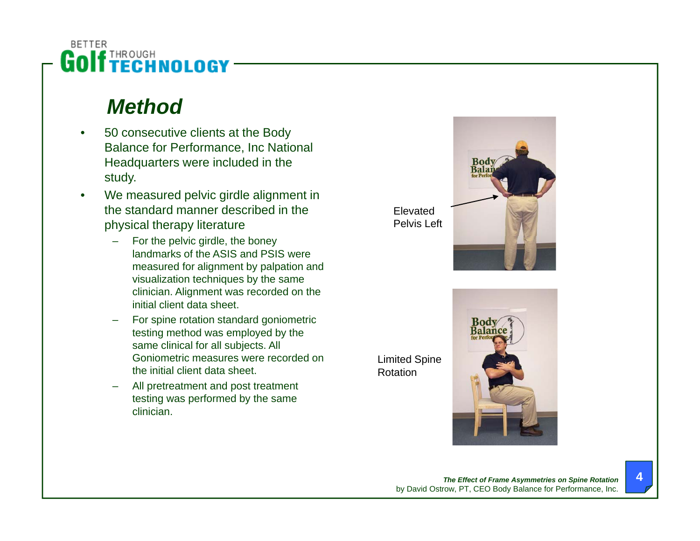### **BETTER If THROUGH NOLOGY**

## *Method*

- • 50 consecutive clients at the Body Balance for Performance, Inc National Headquarters were included in the study.
- • We measured pelvic girdle alignment in the standard manner described in the physical therapy literature
	- For the pelvic girdle, the boney landmarks of the ASIS and PSIS were measured for alignment by palpation and visualization techniques by the same clinician. Alignment was recorded on the initial client data sheet.
	- For spine rotation standard goniometric testing method was employed by the same clinical for all subjects. All Goniometric measures were recorded on the initial client data sheet. The sheet are shown as a Rotation
	- All pretreatment and post treatment testing was performed by the same clinician.

Limited Spine

Elevated Pelvis Left

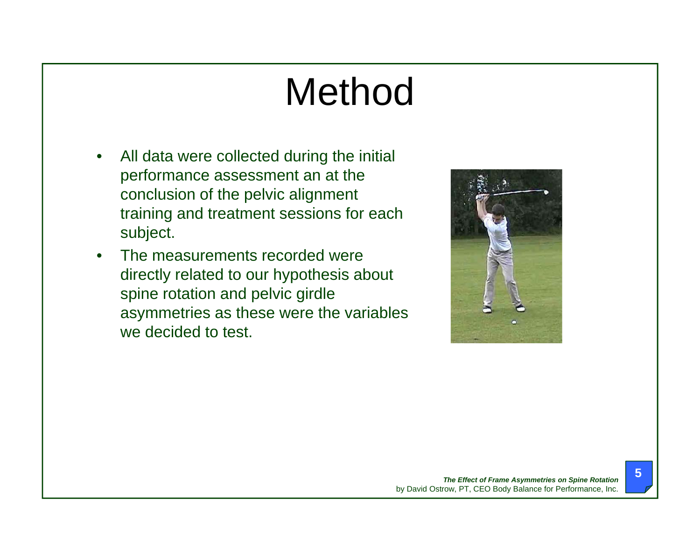# Method

- $\bullet$  All data were collected during the initial performance assessment an at the conclusion of the pelvic alignment training and treatment sessions for each subject.
- • The measurements recorded were directly related to our hypothesis about spine rotation and pelvic girdle asymmetries as these were the variables we decided to test.

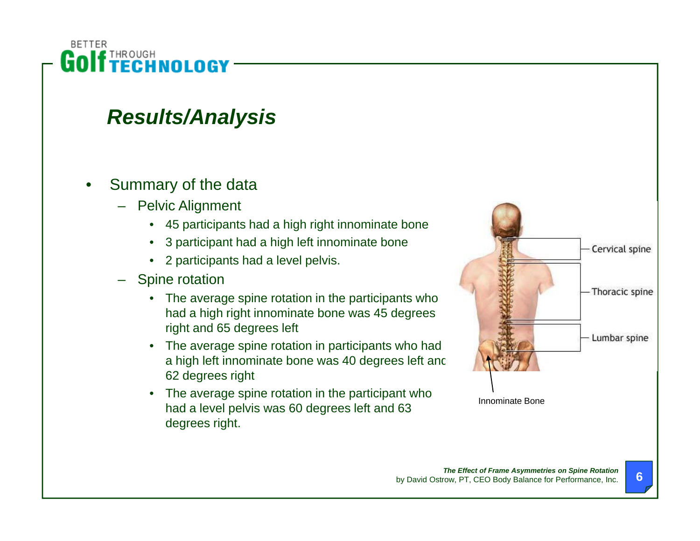

## *Results/Analysis*

### •Summary of the data

- Pelvic Alignment
	- 45 participants had a high right innominate bone
	- 3 participant had a high left innominate bone
	- 2 participants had a level pelvis.
- Spine rotation
	- $\bullet$ The average spine rotation in the participants who had a high right innominate bone was 45 degrees right and 65 degrees left
	- The average spine rotation in participants who had a high left innominate bone was 40 degrees left and 62 degrees right
	- The average spine rotation in the participant who had a level pelvis was 60 degrees left and 63 degrees right.

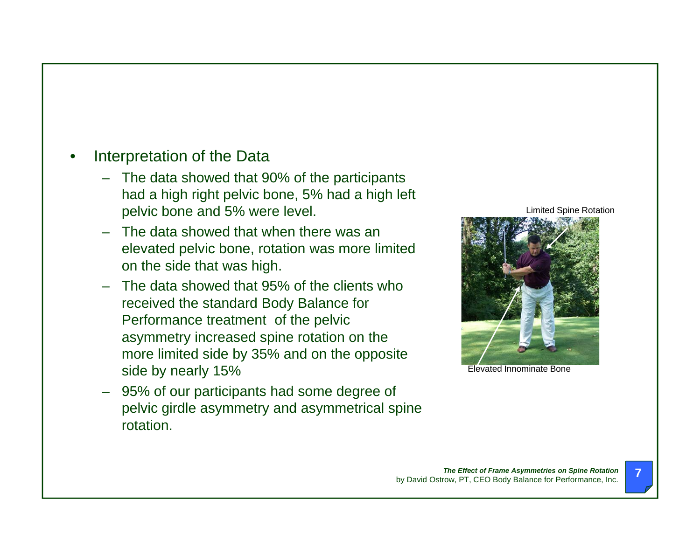#### •Interpretation of the Data

- The data showed that 90% of the participants had a high right pelvic bone, 5% had a high left pelvic bone and 5% were level.
- $-$  The data showed that when there was an elevated pelvic bone, rotation was more limited on the side that was high.
- The data showed that 95% of the clients who received the standard Body Balance for Performance treatment of the pelvic asymmetry increased spine rotation on the more limited side by 35% and on the opposite side by nearly 15% Elevated Innominate Bone
- 95% of our participants had some degree of pelvic girdle asymmetry and asymmetrical spine rotation.

Limited Spine Rotation

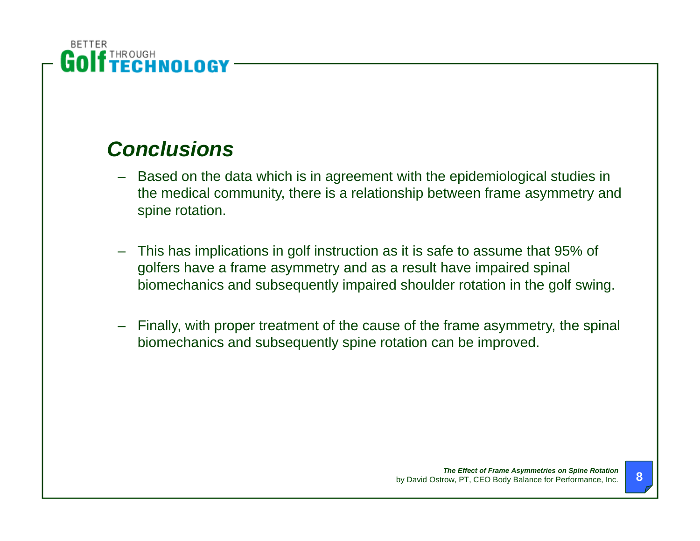

## *Conclusions*

- Based on the data which is in agreement with the epidemiological studies in the medical community, there is a relationship between frame asymmetry and spine rotation.
- – This has implications in golf instruction as it is safe to assume that 95% of golfers have a frame asymmetry and as a result have impaired spinal biomechanics and subsequently impaired shoulder rotation in the golf swing.
- Finally, with proper treatment of the cause of the frame asymmetry, the spinal biomechanics and subsequently spine rotation can be improved.